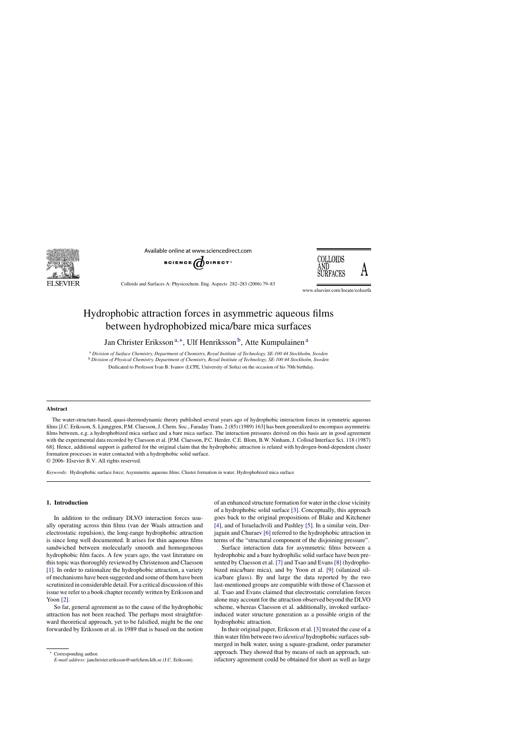

Available online at www.sciencedirect.com





Colloids and Surfaces A: Physicochem. Eng. Aspects 282–283 (2006) 79–83

www.elsevier.com/locate/colsurfa

# Hydrophobic attraction forces in asymmetric aqueous films between hydrophobized mica/bare mica surfaces

Jan Christer Eriksson<sup>a,∗</sup>, Ulf Henriksson<sup>b</sup>, Atte Kumpulainen<sup>a</sup>

<sup>a</sup> *Division of Surface Chemistry, Department of Chemistry, Royal Institute of Technology, SE-100 44 Stockholm, Sweden*

<sup>b</sup> *Division of Physical Chemistry, Department of Chemistry, Royal Institute of Technology, SE-100 44 Stockholm, Sweden*

Dedicated to Professor Ivan B. Ivanov (LCPE, University of Sofia) on the occasion of his 70th birthday.

## **Abstract**

The water-structure-based, quasi-thermodynamic theory published several years ago of hydrophobic interaction forces in symmetric aqueous films [J.C. Eriksson, S. Ljunggren, P.M. Claesson, J. Chem. Soc., Faraday Trans. 2 (85) (1989) 163] has been generalized to encompass asymmetric films between, e.g. a hydrophobized mica surface and a bare mica surface. The interaction pressures derived on this basis are in good agreement with the experimental data recorded by Claesson et al. [P.M. Claesson, P.C. Herder, C.E. Blom, B.W. Ninham, J. Colloid Interface Sci. 118 (1987) 68]. Hence, additional support is gathered for the original claim that the hydrophobic attraction is related with hydrogen-bond-dependent cluster formation processes in water contacted with a hydrophobic solid surface.

© 2006- Elsevier B.V. All rights reserved.

*Keywords:* Hydrophobic surface force; Asymmetric aqueous films; Cluster formation in water; Hydrophobized mica surface

# **1. Introduction**

In addition to the ordinary DLVO interaction forces usually operating across thin films (van der Waals attraction and electrostatic repulsion), the long-range hydrophobic attraction is since long well documented. It arises for thin aqueous films sandwiched between molecularly smooth and homogeneous hydrophobic film faces. A few years ago, the vast literature on this topic was thoroughly reviewed by Christenson and Claesson [\[1\].](#page-4-0) In order to rationalize the hydrophobic attraction, a variety of mechanisms have been suggested and some of them have been scrutinized in considerable detail. For a critical discussion of this issue we refer to a book chapter recently written by Eriksson and Yoon [\[2\].](#page-4-0)

So far, general agreement as to the cause of the hydrophobic attraction has not been reached. The perhaps most straightforward theoretical approach, yet to be falsified, might be the one forwarded by Eriksson et al. in 1989 that is based on the notion

of an enhanced structure formation for water in the close vicinity of a hydrophobic solid surface [\[3\]. C](#page-4-0)onceptually, this approach goes back to the original propositions of Blake and Kitchener [\[4\],](#page-4-0) and of Israelachvili and Pashley [\[5\]. I](#page-4-0)n a similar vein, Derjaguin and Churaev [\[6\]](#page-4-0) referred to the hydrophobic attraction in terms of the "structural component of the disjoining pressure".

Surface interaction data for asymmetric films between a hydrophobic and a bare hydrophilic solid surface have been presented by Claesson et al. [\[7\]](#page-4-0) and Tsao and Evans [\[8\]](#page-4-0) (hydrophobized mica/bare mica), and by Yoon et al. [\[9\]](#page-4-0) (silanized silica/bare glass). By and large the data reported by the two last-mentioned groups are compatible with those of Claesson et al. Tsao and Evans claimed that electrostatic correlation forces alone may account for the attraction observed beyond the DLVO scheme, whereas Claesson et al. additionally, invoked surfaceinduced water structure generation as a possible origin of the hydrophobic attraction.

In their original paper, Eriksson et al. [\[3\]](#page-4-0) treated the case of a thin water film between two *identical* hydrophobic surfaces submerged in bulk water, using a square-gradient, order parameter approach. They showed that by means of such an approach, satisfactory agreement could be obtained for short as well as large

Corresponding author. *E-mail address:* janchrister.eriksson@surfchem.kth.se (J.C. Eriksson).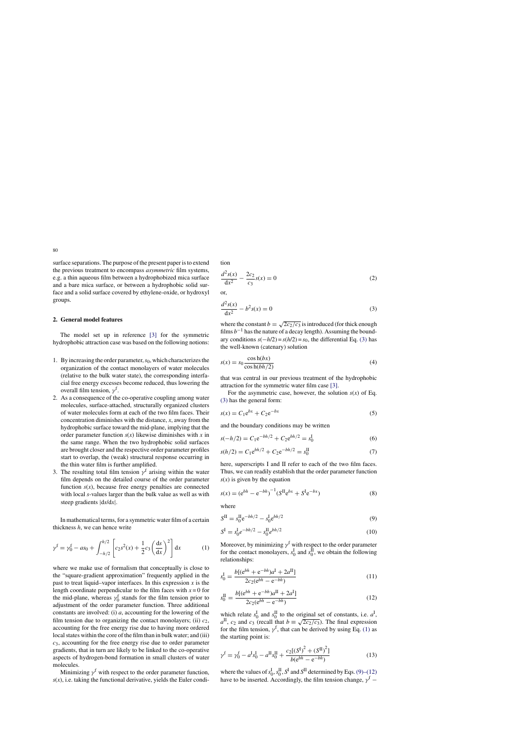<span id="page-1-0"></span>surface separations. The purpose of the present paper is to extend the previous treatment to encompass *asymmetric* film systems, e.g. a thin aqueous film between a hydrophobized mica surface and a bare mica surface, or between a hydrophobic solid surface and a solid surface covered by ethylene-oxide, or hydroxyl groups.

## **2. General model features**

The model set up in reference [\[3\]](#page-4-0) for the symmetric hydrophobic attraction case was based on the following notions:

- 1. By increasing the order parameter,*s*0, which characterizes the organization of the contact monolayers of water molecules (relative to the bulk water state), the corresponding interfacial free energy excesses become reduced, thus lowering the overall film tension,  $\gamma^f$ .
- 2. As a consequence of the co-operative coupling among water molecules, surface-attached, structurally organized clusters of water molecules form at each of the two film faces. Their concentration diminishes with the distance, *x*, away from the hydrophobic surface toward the mid-plane, implying that the order parameter function  $s(x)$  likewise diminishes with x in the same range. When the two hydrophobic solid surfaces are brought closer and the respective order parameter profiles start to overlap, the (weak) structural response occurring in the thin water film is further amplified.
- 3. The resulting total film tension  $\gamma^f$  arising within the water film depends on the detailed course of the order parameter function  $s(x)$ , because free energy penalties are connected with local *s*-values larger than the bulk value as well as with steep gradients |d*s*/d*x*|.

In mathematical terms, for a symmetric water film of a certain thickness *h*, we can hence write

$$
\gamma^{f} = \gamma_{0}^{f} - as_{0} + \int_{-h/2}^{h/2} \left[ c_{2} s^{2}(x) + \frac{1}{2} c_{3} \left( \frac{ds}{dx} \right)^{2} \right] dx
$$
 (1)

where we make use of formalism that conceptually is close to the "square-gradient approximation" frequently applied in the past to treat liquid–vapor interfaces. In this expression  $x$  is the length coordinate perpendicular to the film faces with  $x = 0$  for the mid-plane, whereas  $\gamma_0^f$  stands for the film tension prior to adjustment of the order parameter function. Three additional constants are involved: (i) *a*, accounting for the lowering of the film tension due to organizing the contact monolayers; (ii)  $c_2$ , accounting for the free energy rise due to having more ordered local states within the core of the film than in bulk water; and (iii) *c*3, accounting for the free energy rise due to order parameter gradients, that in turn are likely to be linked to the co-operative aspects of hydrogen-bond formation in small clusters of water molecules.

Minimizing  $\gamma^f$  with respect to the order parameter function,  $s(x)$ , i.e. taking the functional derivative, yields the Euler condition

$$
\frac{d^2s(x)}{dx^2} - \frac{2c_2}{c_3}s(x) = 0
$$
\n(2)

or,

$$
\frac{d^2s(x)}{dx^2} - b^2s(x) = 0
$$
\n(3)

where the constant  $b = \sqrt{2c_2/c_3}$  is introduced (for thick enough films  $b^{-1}$  has the nature of a decay length). Assuming the boundary conditions  $s(-h/2) = s(h/2) = s_0$ , the differential Eq. (3) has the well-known (catenary) solution

$$
s(x) = s_0 \frac{\cos h(bx)}{\cos h(bh/2)}
$$
(4)

that was central in our previous treatment of the hydrophobic attraction for the symmetric water film case [\[3\].](#page-4-0)

For the asymmetric case, however, the solution  $s(x)$  of Eq. (3) has the general form:

$$
s(x) = C_1 e^{bx} + C_2 e^{-bx}
$$
 (5)

and the boundary conditions may be written

$$
s(-h/2) = C_1 e^{-bh/2} + C_2 e^{bh/2} = s_0^I
$$
 (6)

$$
s(h/2) = C_1 e^{bh/2} + C_2 e^{-bh/2} = s_0^{\text{II}}
$$
 (7)

here, superscripts I and II refer to each of the two film faces. Thus, we can readily establish that the order parameter function  $s(x)$  is given by the equation

$$
s(x) = (e^{bh} - e^{-bh})^{-1} (S^{II}e^{bx} + S^{I}e^{-bx})
$$
\n(8)

where

$$
S^{II} = s_0^{II} e^{-bh/2} - s_0^{I} e^{bh/2}
$$
\n(9)

$$
S^{\mathrm{I}} = s_0^{\mathrm{I}} e^{-bh/2} - s_0^{\mathrm{II}} e^{bh/2}
$$
 (10)

Moreover, by minimizing  $\gamma^f$  with respect to the order parameter for the contact monolayers,  $s_0^I$  and  $s_0^{\overline{I}I}$ , we obtain the following relationships:

$$
s_0^{\text{I}} = \frac{b[(e^{bh} + e^{-bh})a^{\text{I}} + 2a^{\text{II}}]}{2c_2(e^{bh} - e^{-bh})}
$$
(11)

$$
s_0^{\text{II}} = \frac{b[(e^{bh} + e^{-bh})a^{\text{II}} + 2a^{\text{I}}]}{2c_2(e^{bh} - e^{-bh})}
$$
(12)

which relate  $s_0^{\text{I}}$  and  $s_0^{\text{II}}$  to the original set of constants, i.e.  $a^{\text{I}}$ ,  $a^{II}$ , *c*<sub>2</sub> and *c*<sub>3</sub> (recall that  $b \equiv \sqrt{2c_2/c_3}$ ). The final expression for the film tension,  $\gamma^f$ , that can be derived by using Eq. (1) as the starting point is:

$$
\gamma^{\text{f}} = \gamma_0^{\text{f}} - a^{\text{I}} s_0^{\text{I}} - a^{\text{II}} s_0^{\text{II}} + \frac{c_2[(S^{\text{I}})^2 + (S^{\text{II}})^2]}{b(e^{bh} - e^{-bh})}
$$
(13)

where the values of  $s_0^{\rm I}$ ,  $s_0^{\rm II}$ ,  $S^{\rm I}$  and  $S^{\rm II}$  determined by Eqs. (9)–(12) have to be inserted. Accordingly, the film tension change,  $\gamma^f$  –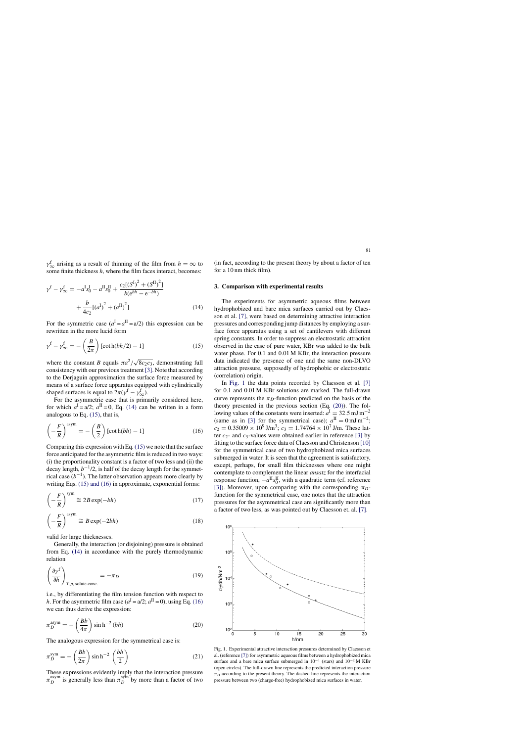$\gamma^f_{\infty}$  arising as a result of thinning of the film from  $h = \infty$  to some finite thickness *h*, where the film faces interact, becomes:

$$
\gamma^{f} - \gamma^{f}_{\infty} = -a^{I}s_{0}^{I} - a^{II}s_{0}^{II} + \frac{c_{2}[(S^{I})^{2} + (S^{II})^{2}]}{b(e^{bh} - e^{-bh})} + \frac{b}{4c_{2}}[(a^{I})^{2} + (a^{II})^{2}]
$$
\n(14)

For the symmetric case  $(a^I = a^{II} = a/2)$  this expression can be rewritten in the more lucid form

$$
\gamma^{\text{f}} - \gamma_{\infty}^{\text{f}} = -\left(\frac{B}{2\pi}\right) \left[\cot \frac{h(bh/2)}{2} - 1\right] \tag{15}
$$

where the constant *B* equals  $\pi a^2 / \sqrt{8c_2c_3}$ , demonstrating full consistency with our previous treatment [\[3\]. N](#page-4-0)ote that according to the Derjaguin approximation the surface force measured by means of a surface force apparatus equipped with cylindrically shaped surfaces is equal to  $2\pi(\gamma^f - \gamma^f_{\infty})$ .

For the asymmetric case that is primarily considered here, for which  $a^I = a/2$ ;  $a^{II} = 0$ , Eq. (14) can be written in a form analogous to Eq. (15), that is,

$$
\left(-\frac{F}{R}\right)^{\text{asym}} = -\left(\frac{B}{2}\right)[\cot h(bh) - 1] \tag{16}
$$

Comparing this expression with Eq. (15) we note that the surface force anticipated for the asymmetric film is reduced in two ways: (i) the proportionality constant is a factor of two less and (ii) the decay length,  $b^{-1/2}$ , is half of the decay length for the symmetrical case  $(b^{-1})$ . The latter observation appears more clearly by writing Eqs. (15) and (16) in approximate, exponential forms:

$$
\left(-\frac{F}{R}\right)^{\text{sym}} \cong 2B \exp(-bh) \tag{17}
$$

$$
\left(-\frac{F}{R}\right)^{\text{asym}} \cong B \exp(-2bh) \tag{18}
$$

valid for large thicknesses.

Generally, the interaction (or disjoining) pressure is obtained from Eq. (14) in accordance with the purely thermodynamic relation

$$
\left(\frac{\partial \gamma^f}{\partial h}\right)_{T, p, \text{ solute conc.}} = -\pi_D \tag{19}
$$

i.e., by differentiating the film tension function with respect to *h*. For the asymmetric film case  $(a^I = a/2; a^{II} = 0)$ , using Eq. (16) we can thus derive the expression:

$$
\pi_D^{\text{asym}} = -\left(\frac{Bb}{4\pi}\right) \sinh^{-2}(bh) \tag{20}
$$

The analogous expression for the symmetrical case is:

$$
\pi_D^{\text{sym}} = -\left(\frac{Bb}{2\pi}\right) \sinh^{-2}\left(\frac{bh}{2}\right) \tag{21}
$$

These expressions evidently imply that the interaction pressure  $\pi_D^{\text{asym}}$  is generally less than  $\pi_D^{\text{sym}}$  by more than a factor of two (in fact, according to the present theory by about a factor of ten for a 10 nm thick film).

#### **3. Comparison with experimental results**

The experiments for asymmetric aqueous films between hydrophobized and bare mica surfaces carried out by Claesson et al. [\[7\],](#page-4-0) were based on determining attractive interaction pressures and corresponding jump distances by employing a surface force apparatus using a set of cantilevers with different spring constants. In order to suppress an electrostatic attraction observed in the case of pure water, KBr was added to the bulk water phase. For 0.1 and 0.01 M KBr, the interaction pressure data indicated the presence of one and the same non-DLVO attraction pressure, supposedly of hydrophobic or electrostatic (correlation) origin.

In Fig. 1 the data points recorded by Claesson et al. [\[7\]](#page-4-0) for 0.1 and 0.01 M KBr solutions are marked. The full-drawn curve represents the  $\pi_D$ -function predicted on the basis of the theory presented in the previous section (Eq. (20)). The following values of the constants were inserted:  $a^I = 32.5$  mJ m<sup>-2</sup> (same as in [\[3\]](#page-4-0) for the symmetrical case);  $a^{II} = 0$  mJ m<sup>-2</sup>;  $c_2 = 0.35009 \times 10^9 \text{ J/m}^3$ ;  $c_3 = 1.74764 \times 10^7 \text{ J/m}$ . These latter  $c_2$ - and  $c_3$ -values were obtained earlier in reference [\[3\]](#page-4-0) by fitting to the surface force data of Claesson and Christenson [\[10\]](#page-4-0) for the symmetrical case of two hydrophobized mica surfaces submerged in water. It is seen that the agreement is satisfactory, except, perhaps, for small film thicknesses where one might contemplate to complement the linear *ansatz* for the interfacial response function,  $-a^{\text{II}}s_0^{\text{II}}$ , with a quadratic term (cf. reference [\[3\]\).](#page-4-0) Moreover, upon comparing with the corresponding  $\pi_D$ function for the symmetrical case, one notes that the attraction pressures for the asymmetrical case are significantly more than a factor of two less, as was pointed out by Claesson et. al. [\[7\].](#page-4-0)



Fig. 1. Experimental attractive interaction pressures determined by Claesson et al. (reference [\[7\]\) f](#page-4-0)or asymmetric aqueous films between a hydrophobized mica surface and a bare mica surface submerged in  $10^{-1}$  (stars) and  $10^{-2}$  M KBr (open circles). The full-drawn line represents the predicted interaction pressure  $\pi_D$  according to the present theory. The dashed line represents the interaction pressure between two (charge-free) hydrophobized mica surfaces in water.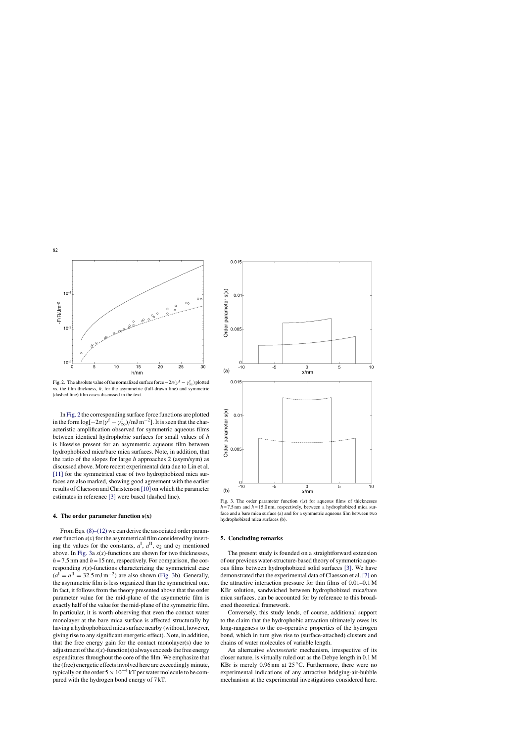

Fig. 2. The absolute value of the normalized surface force  $-2\pi(\gamma^f - \gamma_\infty^f)$  plotted vs. the film thickness, *h*, for the asymmetric (full-drawn line) and symmetric (dashed line) film cases discussed in the text.

In Fig. 2 the corresponding surface force functions are plotted in the form  $\log[-2\pi(\gamma^f - \gamma^f_{\infty})/m] m^{-2}$ . It is seen that the characteristic amplification observed for symmetric aqueous films between identical hydrophobic surfaces for small values of *h* is likewise present for an asymmetric aqueous film between hydrophobized mica/bare mica surfaces. Note, in addition, that the ratio of the slopes for large *h* approaches 2 (asym/sym) as discussed above. More recent experimental data due to Lin et al. [\[11\]](#page-4-0) for the symmetrical case of two hydrophobized mica surfaces are also marked, showing good agreement with the earlier results of Claesson and Christenson [\[10\]](#page-4-0) on which the parameter estimates in reference [\[3\]](#page-4-0) were based (dashed line).

## **4. The order parameter function s(x)**

From Eqs.  $(8)$ – $(12)$  we can derive the associated order parameter function  $s(x)$  for the asymmetrical film considered by inserting the values for the constants,  $a^I$ ,  $a^{II}$ ,  $c_2$  and  $c_3$  mentioned above. In Fig. 3a  $s(x)$ -functions are shown for two thicknesses,  $h = 7.5$  nm and  $h = 15$  nm, respectively. For comparison, the corresponding  $s(x)$ -functions characterizing the symmetrical case  $(a<sup>I</sup> = a<sup>II</sup> = 32.5 \text{ mJ m}^{-2})$  are also shown (Fig. 3b). Generally, the asymmetric film is less organized than the symmetrical one. In fact, it follows from the theory presented above that the order parameter value for the mid-plane of the asymmetric film is exactly half of the value for the mid-plane of the symmetric film. In particular, it is worth observing that even the contact water monolayer at the bare mica surface is affected structurally by having a hydrophobized mica surface nearby (without, however, giving rise to any significant energetic effect). Note, in addition, that the free energy gain for the contact monolayer(s) due to adjustment of the  $s(x)$ -function(s) always exceeds the free energy expenditures throughout the core of the film. We emphasize that the (free) energetic effects involved here are exceedingly minute, typically on the order  $5 \times 10^{-4}$  kT per water molecule to be compared with the hydrogen bond energy of 7 kT.



Fig. 3. The order parameter function  $s(x)$  for aqueous films of thicknesses  $h = 7.5$  nm and  $h = 15.0$  nm, respectively, between a hydrophobized mica surface and a bare mica surface (a) and for a symmetric aqueous film between two hydrophobized mica surfaces (b).

### **5. Concluding remarks**

The present study is founded on a straightforward extension of our previous water-structure-based theory of symmetric aqueous films between hydrophobized solid surfaces [\[3\].](#page-4-0) We have demonstrated that the experimental data of Claesson et al. [\[7\]](#page-4-0) on the attractive interaction pressure for thin films of 0.01–0.1 M KBr solution, sandwiched between hydrophobized mica/bare mica surfaces, can be accounted for by reference to this broadened theoretical framework.

Conversely, this study lends, of course, additional support to the claim that the hydrophobic attraction ultimately owes its long-rangeness to the co-operative properties of the hydrogen bond, which in turn give rise to (surface-attached) clusters and chains of water molecules of variable length.

An alternative *electrostatic* mechanism, irrespective of its closer nature, is virtually ruled out as the Debye length in 0.1 M KBr is merely 0.96 nm at  $25^{\circ}$ C. Furthermore, there were no experimental indications of any attractive bridging-air-bubble mechanism at the experimental investigations considered here.